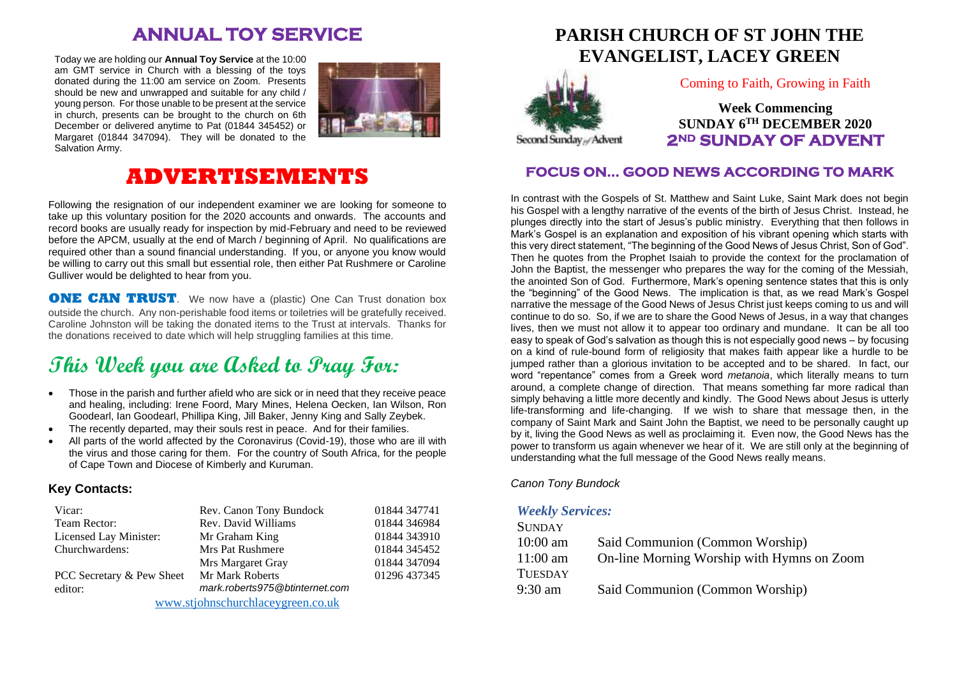# **ANNUAL TOY SERVICE**

Today we are holding our **Annual Toy Service** at the 10:00 am GMT service in Church with a blessing of the toys donated during the 11:00 am service on Zoom. Presents should be new and unwrapped and suitable for any child / young person. For those unable to be present at the service in church, presents can be brought to the church on 6th December or delivered anytime to Pat (01844 345452) or Margaret (01844 347094). They will be donated to the Salvation Army.



# **ADVERTISEMENTS**

Following the resignation of our independent examiner we are looking for someone to take up this voluntary position for the 2020 accounts and onwards. The accounts and record books are usually ready for inspection by mid-February and need to be reviewed before the APCM, usually at the end of March / beginning of April. No qualifications are required other than a sound financial understanding. If you, or anyone you know would be willing to carry out this small but essential role, then either Pat Rushmere or Caroline Gulliver would be delighted to hear from you.

**ONE CAN TRUST**. We now have a (plastic) One Can Trust donation box outside the church. Any non-perishable food items or toiletries will be gratefully received. Caroline Johnston will be taking the donated items to the Trust at intervals. Thanks for the donations received to date which will help struggling families at this time.

# **This Week you are Asked to Pray For:**

- Those in the parish and further afield who are sick or in need that they receive peace and healing, including: Irene Foord, Mary Mines, Helena Oecken, Ian Wilson, Ron Goodearl, Ian Goodearl, Phillipa King, Jill Baker, Jenny King and Sally Zeybek.
- The recently departed, may their souls rest in peace. And for their families.
- All parts of the world affected by the Coronavirus (Covid-19), those who are ill with the virus and those caring for them. For the country of South Africa, for the people of Cape Town and Diocese of Kimberly and Kuruman.

#### **Key Contacts:**

| Vicar:                            | Rev. Canon Tony Bundock        | 01844 347741 |
|-----------------------------------|--------------------------------|--------------|
| Team Rector:                      | Rev. David Williams            | 01844 346984 |
| Licensed Lay Minister:            | Mr Graham King                 | 01844 343910 |
| Churchwardens:                    | Mrs Pat Rushmere               | 01844 345452 |
|                                   | Mrs Margaret Gray              | 01844 347094 |
| PCC Secretary & Pew Sheet         | Mr Mark Roberts                | 01296 437345 |
| editor:                           | mark.roberts975@btinternet.com |              |
| www.stjohnschurchlaceygreen.co.uk |                                |              |

## **PARISH CHURCH OF ST JOHN THE EVANGELIST, LACEY GREEN**



Coming to Faith, Growing in Faith

**Week Commencing SUNDAY 6 TH DECEMBER 2020 2ND SUNDAY OF ADVENT** 

#### **FOCUS ON… GOOD NEWS ACCORDING TO MARK**

In contrast with the Gospels of St. Matthew and Saint Luke, Saint Mark does not begin his Gospel with a lengthy narrative of the events of the birth of Jesus Christ. Instead, he plunges directly into the start of Jesus's public ministry. Everything that then follows in Mark's Gospel is an explanation and exposition of his vibrant opening which starts with this very direct statement, "The beginning of the Good News of Jesus Christ, Son of God". Then he quotes from the Prophet Isaiah to provide the context for the proclamation of John the Baptist, the messenger who prepares the way for the coming of the Messiah, the anointed Son of God. Furthermore, Mark's opening sentence states that this is only the "beginning" of the Good News. The implication is that, as we read Mark's Gospel narrative the message of the Good News of Jesus Christ just keeps coming to us and will continue to do so. So, if we are to share the Good News of Jesus, in a way that changes lives, then we must not allow it to appear too ordinary and mundane. It can be all too easy to speak of God's salvation as though this is not especially good news – by focusing on a kind of rule-bound form of religiosity that makes faith appear like a hurdle to be jumped rather than a glorious invitation to be accepted and to be shared. In fact, our word "repentance" comes from a Greek word *metanoia*, which literally means to turn around, a complete change of direction. That means something far more radical than simply behaving a little more decently and kindly. The Good News about Jesus is utterly life-transforming and life-changing. If we wish to share that message then, in the company of Saint Mark and Saint John the Baptist, we need to be personally caught up by it, living the Good News as well as proclaiming it. Even now, the Good News has the power to transform us again whenever we hear of it. We are still only at the beginning of understanding what the full message of the Good News really means.

*Canon Tony Bundock*

#### *Weekly Services:*

| <b>SUNDAY</b>  |                                            |
|----------------|--------------------------------------------|
| $10:00$ am     | Said Communion (Common Worship)            |
| $11:00$ am     | On-line Morning Worship with Hymns on Zoom |
| <b>TUESDAY</b> |                                            |
| 9:30 am        | Said Communion (Common Worship)            |
|                |                                            |